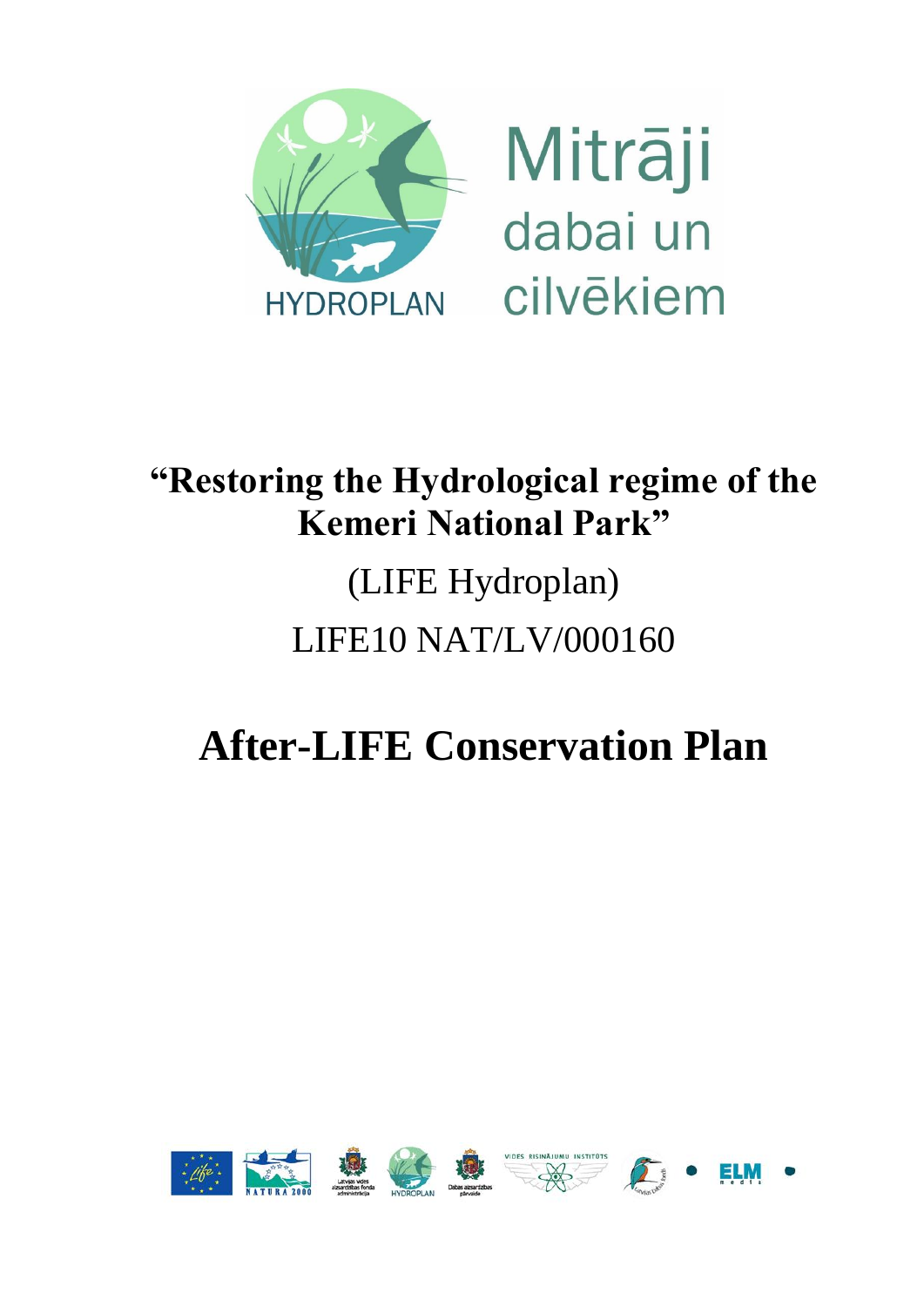

# Mitrāji dabai un cilvēkiem

### **"Restoring the Hydrological regime of the Kemeri National Park"**

## (LIFE Hydroplan)

### LIFE10 NAT/LV/000160

## **After-LIFE Conservation Plan**

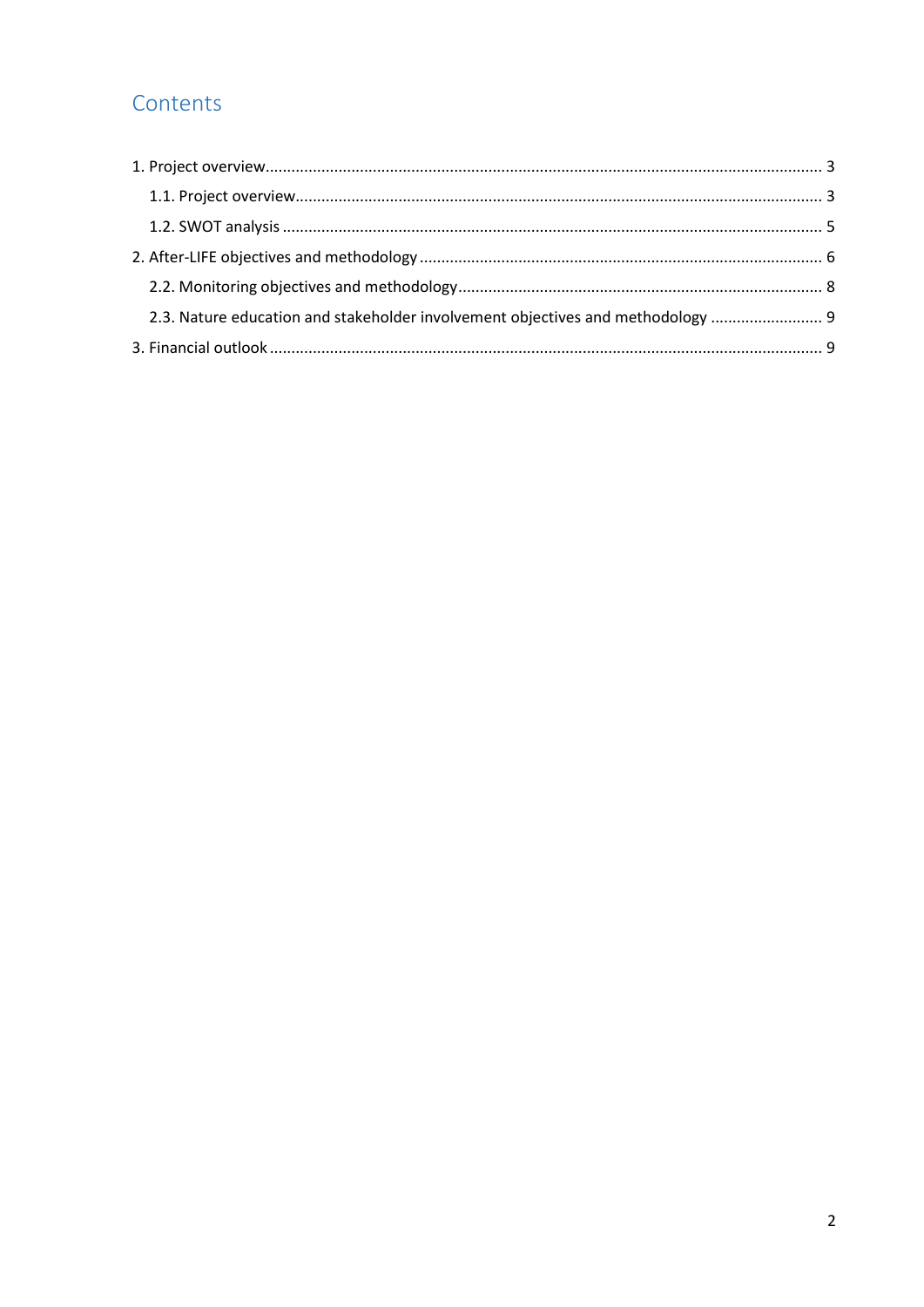#### Contents

| 2.3. Nature education and stakeholder involvement objectives and methodology |
|------------------------------------------------------------------------------|
|                                                                              |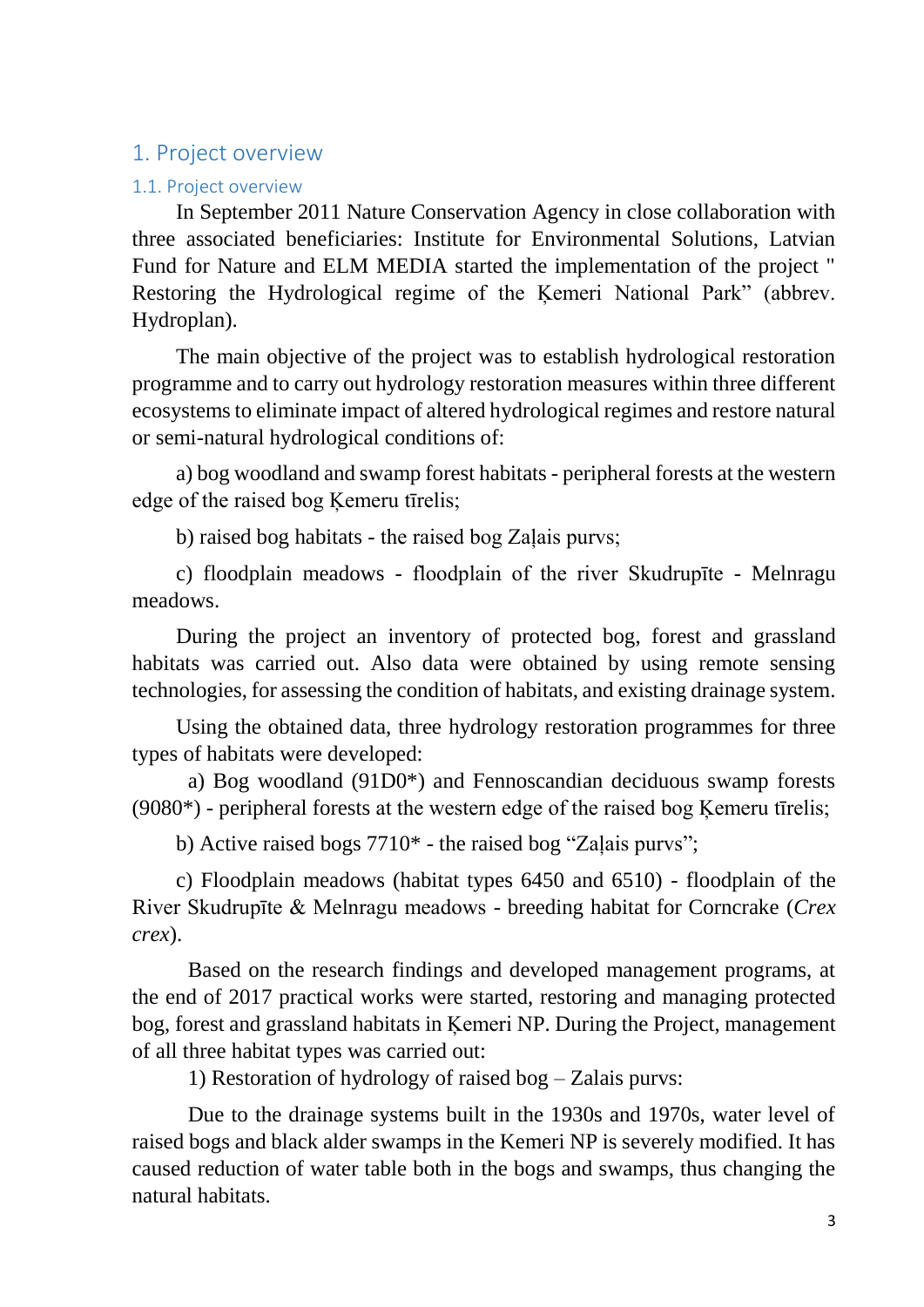#### <span id="page-2-0"></span>1. Project overview

#### <span id="page-2-1"></span>1.1. Project overview

In September 2011 Nature Conservation Agency in close collaboration with three associated beneficiaries: Institute for Environmental Solutions, Latvian Fund for Nature and ELM MEDIA started the implementation of the project " Restoring the Hydrological regime of the Ķemeri National Park" (abbrev. Hydroplan).

The main objective of the project was to establish hydrological restoration programme and to carry out hydrology restoration measures within three different ecosystems to eliminate impact of altered hydrological regimes and restore natural or semi-natural hydrological conditions of:

a) bog woodland and swamp forest habitats - peripheral forests at the western edge of the raised bog Ķemeru tīrelis;

b) raised bog habitats - the raised bog Zaļais purvs;

c) floodplain meadows - floodplain of the river Skudrupīte - Melnragu meadows.

During the project an inventory of protected bog, forest and grassland habitats was carried out. Also data were obtained by using remote sensing technologies, for assessing the condition of habitats, and existing drainage system.

Using the obtained data, three hydrology restoration programmes for three types of habitats were developed:

a) Bog woodland (91D0\*) and Fennoscandian deciduous swamp forests (9080\*) - peripheral forests at the western edge of the raised bog Ķemeru tīrelis;

b) Active raised bogs 7710\* - the raised bog "Zaļais purvs";

c) Floodplain meadows (habitat types 6450 and 6510) - floodplain of the River Skudrupīte & Melnragu meadows - breeding habitat for Corncrake (*Crex crex*).

Based on the research findings and developed management programs, at the end of 2017 practical works were started, restoring and managing protected bog, forest and grassland habitats in Ķemeri NP. During the Project, management of all three habitat types was carried out:

1) Restoration of hydrology of raised bog – Zalais purvs:

Due to the drainage systems built in the 1930s and 1970s, water level of raised bogs and black alder swamps in the Kemeri NP is severely modified. It has caused reduction of water table both in the bogs and swamps, thus changing the natural habitats.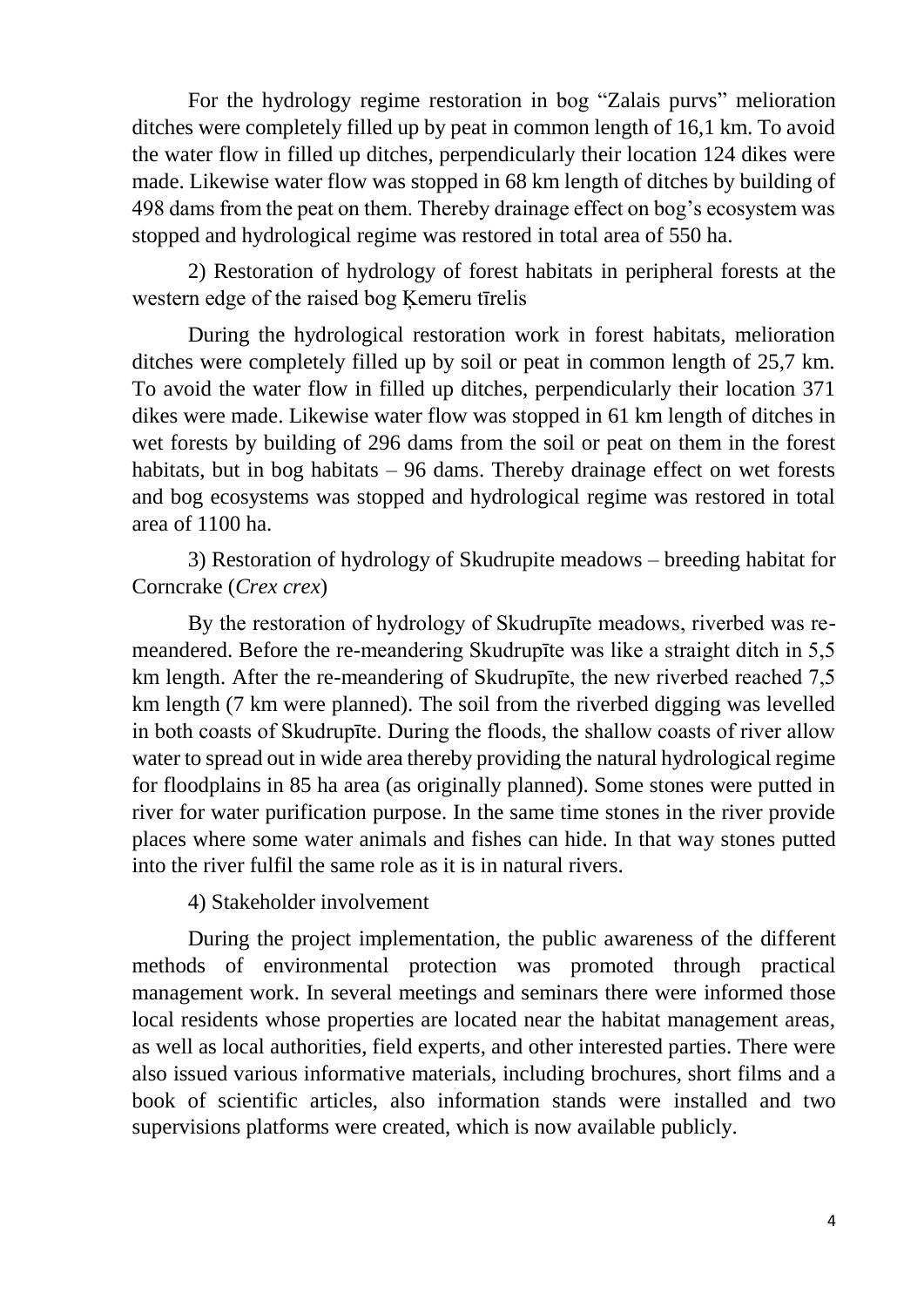For the hydrology regime restoration in bog "Zalais purvs" melioration ditches were completely filled up by peat in common length of 16,1 km. To avoid the water flow in filled up ditches, perpendicularly their location 124 dikes were made. Likewise water flow was stopped in 68 km length of ditches by building of 498 dams from the peat on them. Thereby drainage effect on bog's ecosystem was stopped and hydrological regime was restored in total area of 550 ha.

2) Restoration of hydrology of forest habitats in peripheral forests at the western edge of the raised bog Ķemeru tīrelis

During the hydrological restoration work in forest habitats, melioration ditches were completely filled up by soil or peat in common length of 25,7 km. To avoid the water flow in filled up ditches, perpendicularly their location 371 dikes were made. Likewise water flow was stopped in 61 km length of ditches in wet forests by building of 296 dams from the soil or peat on them in the forest habitats, but in bog habitats – 96 dams. Thereby drainage effect on wet forests and bog ecosystems was stopped and hydrological regime was restored in total area of 1100 ha.

3) Restoration of hydrology of Skudrupite meadows – breeding habitat for Corncrake (*Crex crex*)

By the restoration of hydrology of Skudrupīte meadows, riverbed was remeandered. Before the re-meandering Skudrupīte was like a straight ditch in 5,5 km length. After the re-meandering of Skudrupīte, the new riverbed reached 7,5 km length (7 km were planned). The soil from the riverbed digging was levelled in both coasts of Skudrupīte. During the floods, the shallow coasts of river allow water to spread out in wide area thereby providing the natural hydrological regime for floodplains in 85 ha area (as originally planned). Some stones were putted in river for water purification purpose. In the same time stones in the river provide places where some water animals and fishes can hide. In that way stones putted into the river fulfil the same role as it is in natural rivers.

4) Stakeholder involvement

During the project implementation, the public awareness of the different methods of environmental protection was promoted through practical management work. In several meetings and seminars there were informed those local residents whose properties are located near the habitat management areas, as well as local authorities, field experts, and other interested parties. There were also issued various informative materials, including brochures, short films and a book of scientific articles, also information stands were installed and two supervisions platforms were created, which is now available publicly.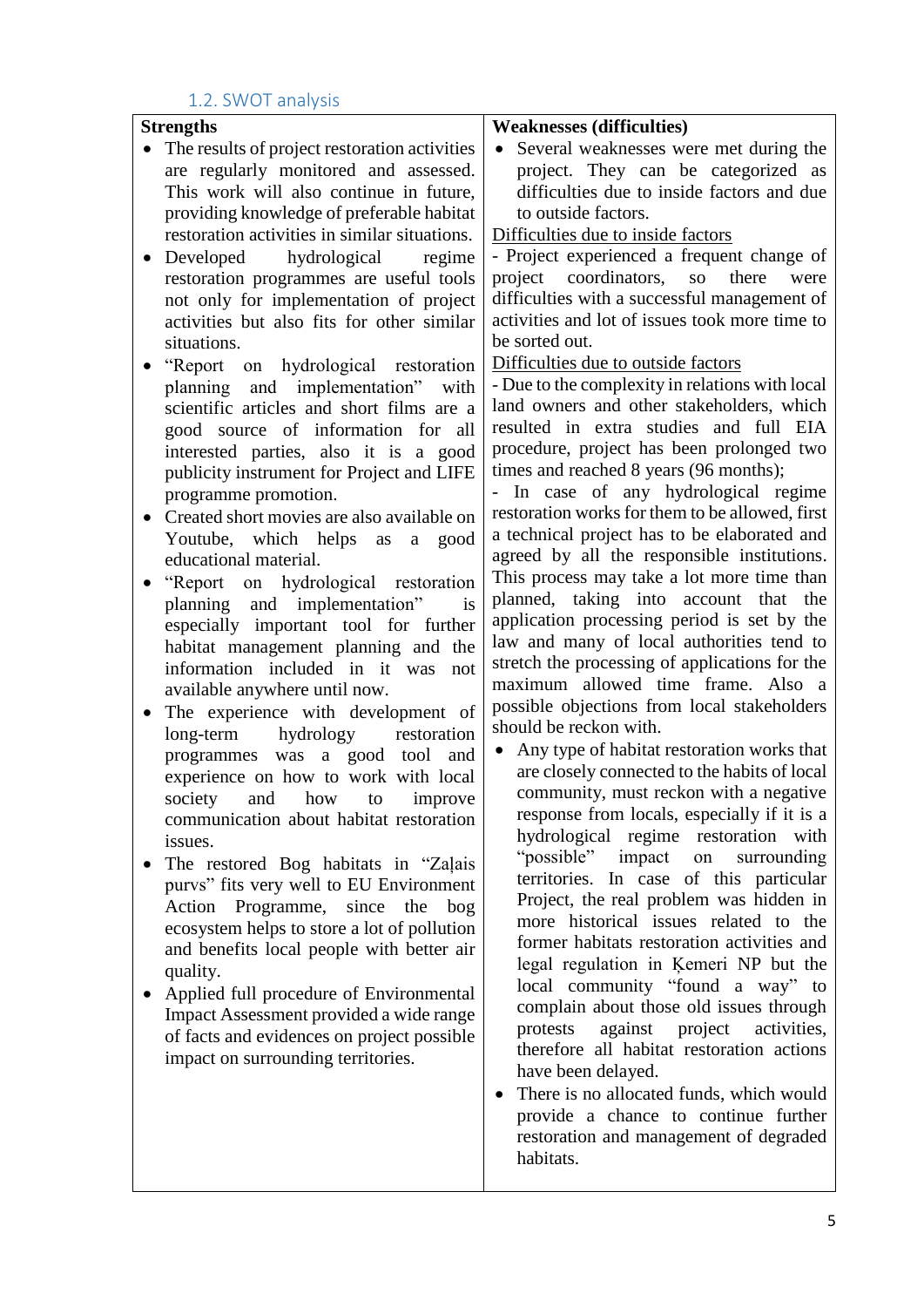#### <span id="page-4-0"></span>1.2. SWOT analysis

| <b>Strengths</b>                                                                   | <b>Weaknesses (difficulties)</b>                                                             |
|------------------------------------------------------------------------------------|----------------------------------------------------------------------------------------------|
| The results of project restoration activities                                      | Several weaknesses were met during the                                                       |
| are regularly monitored and assessed.                                              | project. They can be categorized as                                                          |
| This work will also continue in future,                                            | difficulties due to inside factors and due                                                   |
| providing knowledge of preferable habitat                                          | to outside factors.                                                                          |
| restoration activities in similar situations.                                      | Difficulties due to inside factors                                                           |
| Developed hydrological<br>regime<br>$\bullet$                                      | - Project experienced a frequent change of                                                   |
| restoration programmes are useful tools                                            | project coordinators, so<br>there<br>were                                                    |
| not only for implementation of project                                             | difficulties with a successful management of                                                 |
| activities but also fits for other similar                                         | activities and lot of issues took more time to<br>be sorted out.                             |
| situations.                                                                        |                                                                                              |
| hydrological restoration<br>"Report"<br>on                                         | Difficulties due to outside factors                                                          |
| planning and implementation"<br>with                                               | - Due to the complexity in relations with local<br>land owners and other stakeholders, which |
| scientific articles and short films are a                                          | resulted in extra studies and full EIA                                                       |
| good source of information for<br>all                                              | procedure, project has been prolonged two                                                    |
| interested parties, also it is a good<br>publicity instrument for Project and LIFE | times and reached 8 years (96 months);                                                       |
| programme promotion.                                                               | - In case of any hydrological regime                                                         |
| Created short movies are also available on                                         | restoration works for them to be allowed, first                                              |
| Youtube, which helps as<br>good<br>$\mathbf{a}$                                    | a technical project has to be elaborated and                                                 |
| educational material.                                                              | agreed by all the responsible institutions.                                                  |
| hydrological restoration<br>"Report"<br>on                                         | This process may take a lot more time than                                                   |
| planning and implementation"<br>is                                                 | planned, taking into account that the                                                        |
| especially important tool for further                                              | application processing period is set by the                                                  |
| habitat management planning and the                                                | law and many of local authorities tend to                                                    |
| information included in it was<br>not                                              | stretch the processing of applications for the                                               |
| available anywhere until now.                                                      | maximum allowed time frame. Also a                                                           |
| The experience with development of                                                 | possible objections from local stakeholders                                                  |
| restoration<br>hydrology<br>long-term                                              | should be reckon with.                                                                       |
| programmes was a good tool<br>and                                                  | Any type of habitat restoration works that<br>$\bullet$                                      |
| experience on how to work with local                                               | are closely connected to the habits of local                                                 |
| society<br>and<br>improve<br>how<br>to                                             | community, must reckon with a negative                                                       |
| communication about habitat restoration                                            | response from locals, especially if it is a<br>hydrological regime restoration with          |
| issues.                                                                            | "possible"<br>impact<br>surrounding<br>on                                                    |
| The restored Bog habitats in "Zaļais                                               | territories. In case of this particular                                                      |
| purvs" fits very well to EU Environment                                            | Project, the real problem was hidden in                                                      |
| Action Programme, since<br>the<br>bog                                              | more historical issues related to the                                                        |
| ecosystem helps to store a lot of pollution                                        | former habitats restoration activities and                                                   |
| and benefits local people with better air<br>quality.                              | legal regulation in Kemeri NP but the                                                        |
| Applied full procedure of Environmental                                            | local community "found a way" to                                                             |
| Impact Assessment provided a wide range                                            | complain about those old issues through                                                      |
| of facts and evidences on project possible                                         | protests<br>against<br>project<br>activities,                                                |
| impact on surrounding territories.                                                 | therefore all habitat restoration actions                                                    |
|                                                                                    | have been delayed.                                                                           |
|                                                                                    | There is no allocated funds, which would                                                     |
|                                                                                    | provide a chance to continue further                                                         |
|                                                                                    | restoration and management of degraded                                                       |
|                                                                                    | habitats.                                                                                    |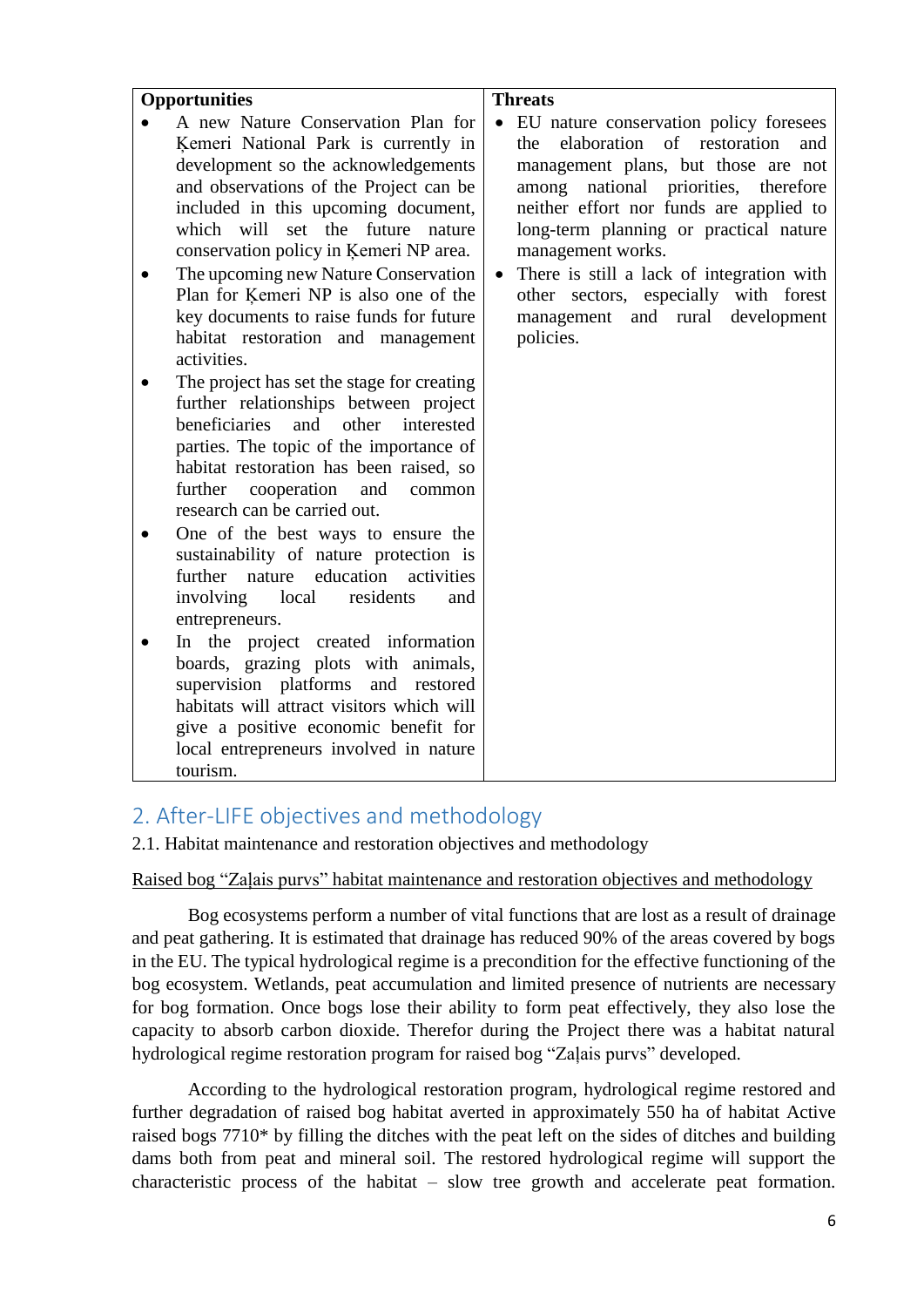| <b>Opportunities</b>                        |           | <b>Threats</b>                            |
|---------------------------------------------|-----------|-------------------------------------------|
| A new Nature Conservation Plan for          | $\bullet$ | EU nature conservation policy foresees    |
| Kemeri National Park is currently in        |           | elaboration of restoration<br>the<br>and  |
| development so the acknowledgements         |           | management plans, but those are not       |
| and observations of the Project can be      |           | national priorities, therefore<br>among   |
| included in this upcoming document,         |           | neither effort nor funds are applied to   |
| which will set the future nature            |           | long-term planning or practical nature    |
| conservation policy in Kemeri NP area.      |           | management works.                         |
| The upcoming new Nature Conservation        |           | There is still a lack of integration with |
| Plan for Kemeri NP is also one of the       |           | other sectors, especially with forest     |
| key documents to raise funds for future     |           | management and rural<br>development       |
| habitat restoration and management          |           | policies.                                 |
| activities.                                 |           |                                           |
| The project has set the stage for creating  |           |                                           |
| further relationships between project       |           |                                           |
| beneficiaries<br>and<br>other<br>interested |           |                                           |
| parties. The topic of the importance of     |           |                                           |
| habitat restoration has been raised, so     |           |                                           |
| further cooperation<br>and<br>common        |           |                                           |
| research can be carried out.                |           |                                           |
| One of the best ways to ensure the          |           |                                           |
| sustainability of nature protection is      |           |                                           |
| further nature<br>education<br>activities   |           |                                           |
| involving<br>local<br>residents<br>and      |           |                                           |
| entrepreneurs.                              |           |                                           |
| In the project created information          |           |                                           |
| boards, grazing plots with animals,         |           |                                           |
| supervision platforms and restored          |           |                                           |
| habitats will attract visitors which will   |           |                                           |
| give a positive economic benefit for        |           |                                           |
| local entrepreneurs involved in nature      |           |                                           |
| tourism.                                    |           |                                           |

#### <span id="page-5-0"></span>2. After-LIFE objectives and methodology

2.1. Habitat maintenance and restoration objectives and methodology

#### Raised bog "Zaļais purvs" habitat maintenance and restoration objectives and methodology

Bog ecosystems perform a number of vital functions that are lost as a result of drainage and peat gathering. It is estimated that drainage has reduced 90% of the areas covered by bogs in the EU. The typical hydrological regime is a precondition for the effective functioning of the bog ecosystem. Wetlands, peat accumulation and limited presence of nutrients are necessary for bog formation. Once bogs lose their ability to form peat effectively, they also lose the capacity to absorb carbon dioxide. Therefor during the Project there was a habitat natural hydrological regime restoration program for raised bog "Zaļais purvs" developed.

According to the hydrological restoration program, hydrological regime restored and further degradation of raised bog habitat averted in approximately 550 ha of habitat Active raised bogs 7710\* by filling the ditches with the peat left on the sides of ditches and building dams both from peat and mineral soil. The restored hydrological regime will support the characteristic process of the habitat – slow tree growth and accelerate peat formation.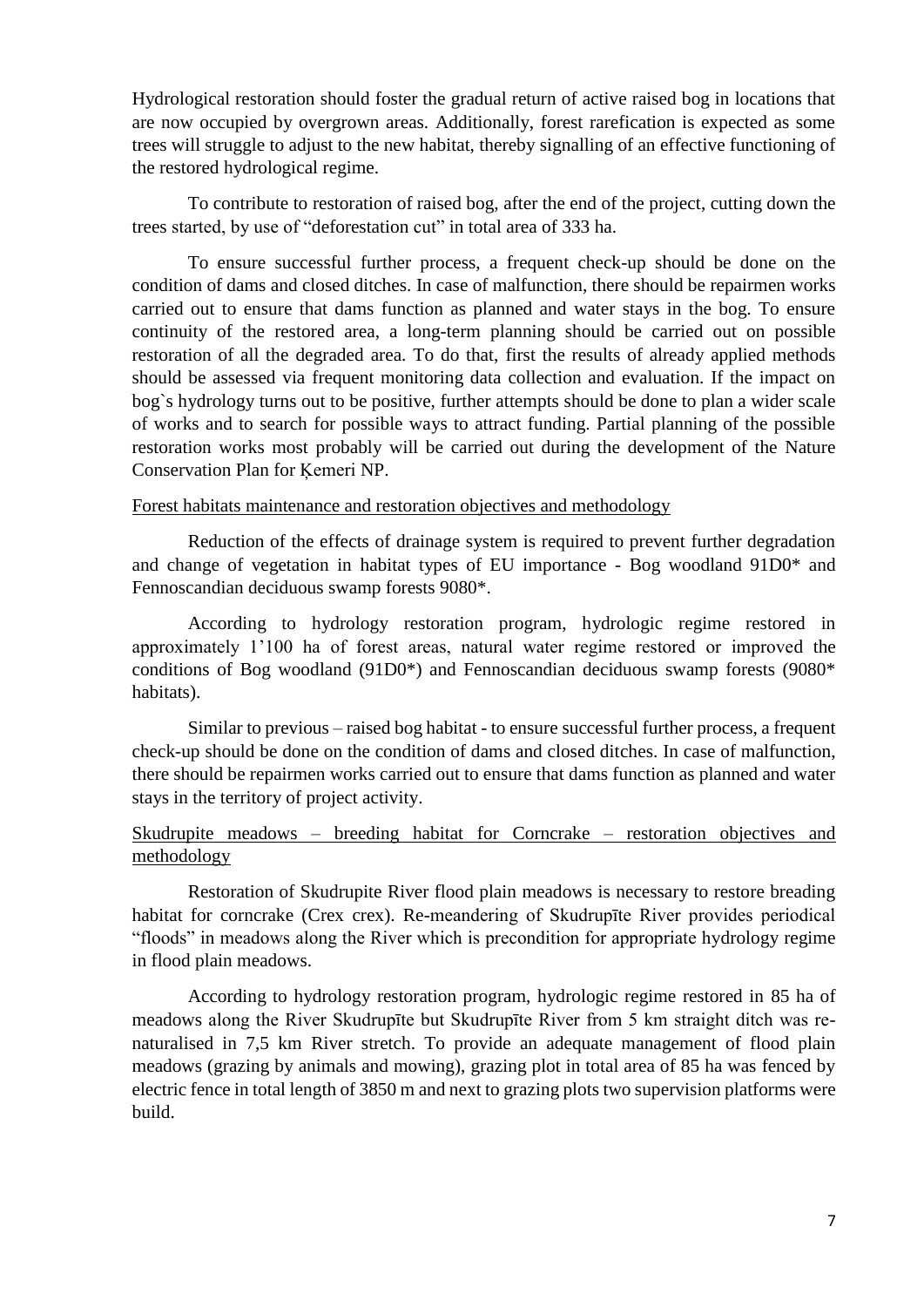Hydrological restoration should foster the gradual return of active raised bog in locations that are now occupied by overgrown areas. Additionally, forest rarefication is expected as some trees will struggle to adjust to the new habitat, thereby signalling of an effective functioning of the restored hydrological regime.

To contribute to restoration of raised bog, after the end of the project, cutting down the trees started, by use of "deforestation cut" in total area of 333 ha.

To ensure successful further process, a frequent check-up should be done on the condition of dams and closed ditches. In case of malfunction, there should be repairmen works carried out to ensure that dams function as planned and water stays in the bog. To ensure continuity of the restored area, a long-term planning should be carried out on possible restoration of all the degraded area. To do that, first the results of already applied methods should be assessed via frequent monitoring data collection and evaluation. If the impact on bog`s hydrology turns out to be positive, further attempts should be done to plan a wider scale of works and to search for possible ways to attract funding. Partial planning of the possible restoration works most probably will be carried out during the development of the Nature Conservation Plan for Ķemeri NP.

#### Forest habitats maintenance and restoration objectives and methodology

Reduction of the effects of drainage system is required to prevent further degradation and change of vegetation in habitat types of EU importance - Bog woodland 91D0\* and Fennoscandian deciduous swamp forests 9080\*.

According to hydrology restoration program, hydrologic regime restored in approximately 1'100 ha of forest areas, natural water regime restored or improved the conditions of Bog woodland (91D0\*) and Fennoscandian deciduous swamp forests (9080\* habitats).

Similar to previous – raised bog habitat - to ensure successful further process, a frequent check-up should be done on the condition of dams and closed ditches. In case of malfunction, there should be repairmen works carried out to ensure that dams function as planned and water stays in the territory of project activity.

#### Skudrupite meadows – breeding habitat for Corncrake – restoration objectives and methodology

Restoration of Skudrupite River flood plain meadows is necessary to restore breading habitat for corncrake (Crex crex). Re-meandering of Skudrupīte River provides periodical "floods" in meadows along the River which is precondition for appropriate hydrology regime in flood plain meadows.

According to hydrology restoration program, hydrologic regime restored in 85 ha of meadows along the River Skudrupīte but Skudrupīte River from 5 km straight ditch was renaturalised in 7,5 km River stretch. To provide an adequate management of flood plain meadows (grazing by animals and mowing), grazing plot in total area of 85 ha was fenced by electric fence in total length of 3850 m and next to grazing plots two supervision platforms were build.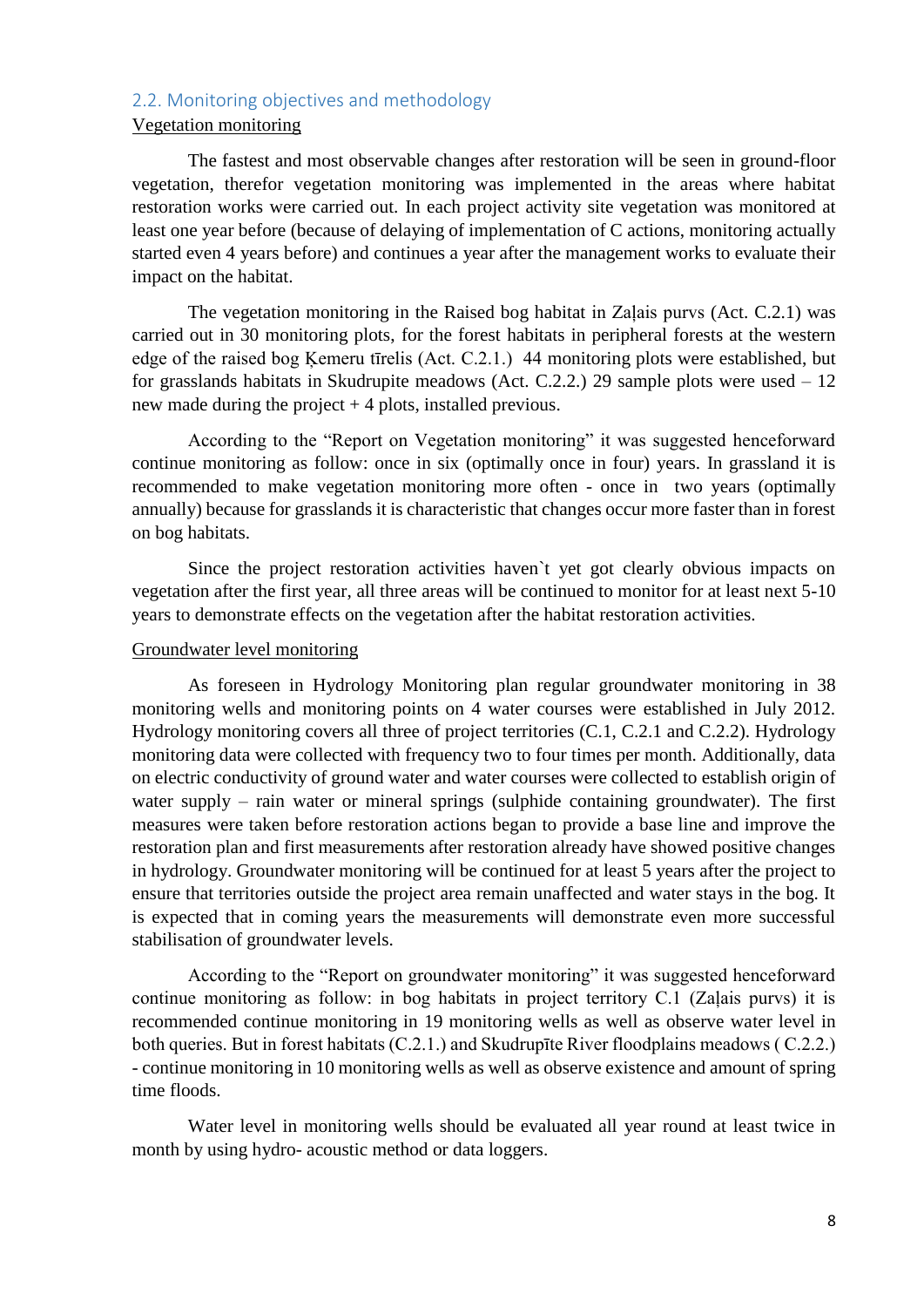#### <span id="page-7-0"></span>2.2. Monitoring objectives and methodology

#### Vegetation monitoring

The fastest and most observable changes after restoration will be seen in ground-floor vegetation, therefor vegetation monitoring was implemented in the areas where habitat restoration works were carried out. In each project activity site vegetation was monitored at least one year before (because of delaying of implementation of C actions, monitoring actually started even 4 years before) and continues a year after the management works to evaluate their impact on the habitat.

The vegetation monitoring in the Raised bog habitat in Zaļais purvs (Act. C.2.1) was carried out in 30 monitoring plots, for the forest habitats in peripheral forests at the western edge of the raised bog Ķemeru tīrelis (Act. C.2.1.) 44 monitoring plots were established, but for grasslands habitats in Skudrupite meadows (Act. C.2.2.) 29 sample plots were used – 12 new made during the project  $+4$  plots, installed previous.

According to the "Report on Vegetation monitoring" it was suggested henceforward continue monitoring as follow: once in six (optimally once in four) years. In grassland it is recommended to make vegetation monitoring more often - once in two years (optimally annually) because for grasslands it is characteristic that changes occur more faster than in forest on bog habitats.

Since the project restoration activities haven`t yet got clearly obvious impacts on vegetation after the first year, all three areas will be continued to monitor for at least next 5-10 years to demonstrate effects on the vegetation after the habitat restoration activities.

#### Groundwater level monitoring

As foreseen in Hydrology Monitoring plan regular groundwater monitoring in 38 monitoring wells and monitoring points on 4 water courses were established in July 2012. Hydrology monitoring covers all three of project territories (C.1, C.2.1 and C.2.2). Hydrology monitoring data were collected with frequency two to four times per month. Additionally, data on electric conductivity of ground water and water courses were collected to establish origin of water supply – rain water or mineral springs (sulphide containing groundwater). The first measures were taken before restoration actions began to provide a base line and improve the restoration plan and first measurements after restoration already have showed positive changes in hydrology. Groundwater monitoring will be continued for at least 5 years after the project to ensure that territories outside the project area remain unaffected and water stays in the bog. It is expected that in coming years the measurements will demonstrate even more successful stabilisation of groundwater levels.

According to the "Report on groundwater monitoring" it was suggested henceforward continue monitoring as follow: in bog habitats in project territory C.1 (Zaļais purvs) it is recommended continue monitoring in 19 monitoring wells as well as observe water level in both queries. But in forest habitats (C.2.1.) and Skudrupīte River floodplains meadows ( C.2.2.) - continue monitoring in 10 monitoring wells as well as observe existence and amount of spring time floods.

Water level in monitoring wells should be evaluated all year round at least twice in month by using hydro- acoustic method or data loggers.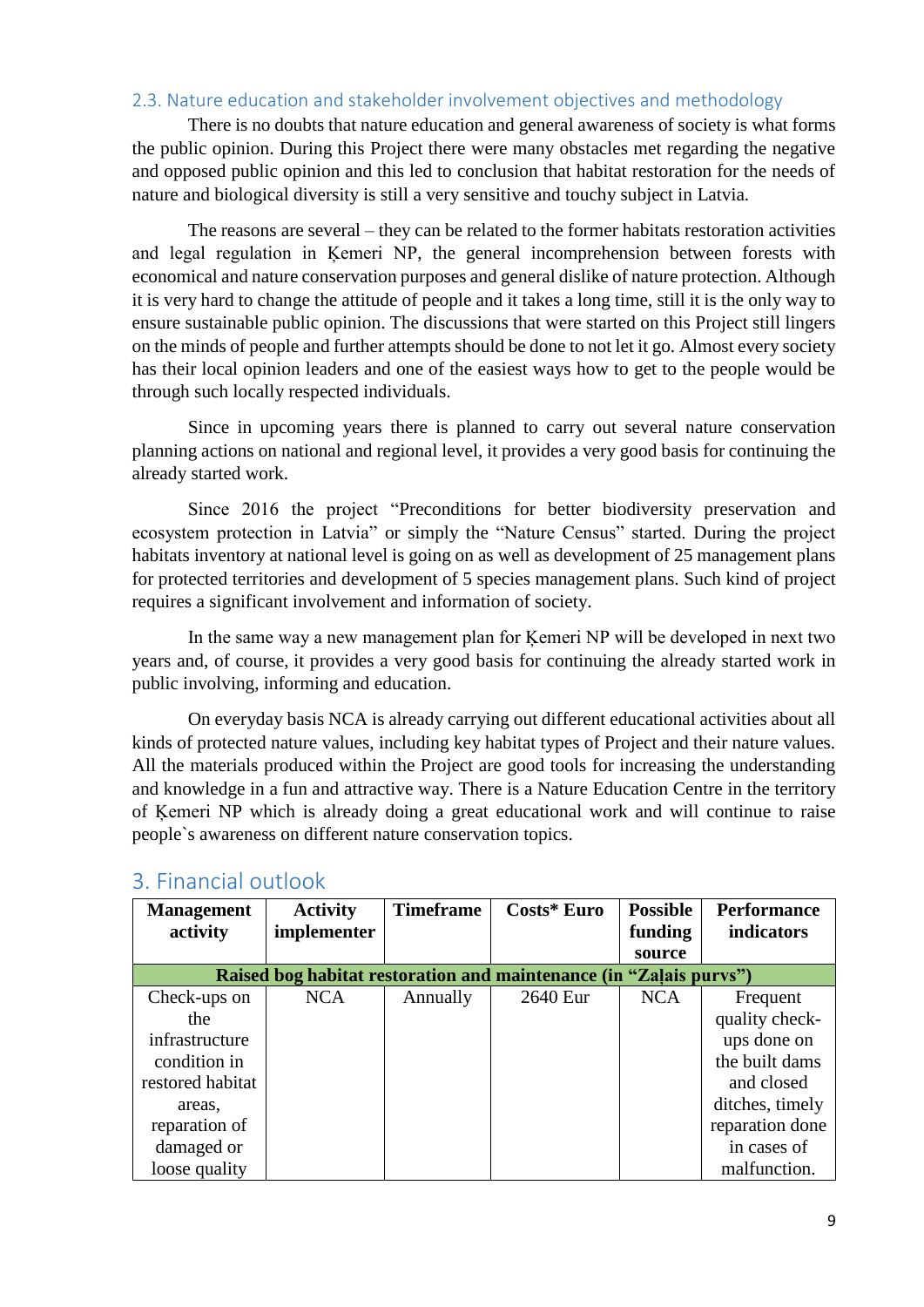#### <span id="page-8-0"></span>2.3. Nature education and stakeholder involvement objectives and methodology

There is no doubts that nature education and general awareness of society is what forms the public opinion. During this Project there were many obstacles met regarding the negative and opposed public opinion and this led to conclusion that habitat restoration for the needs of nature and biological diversity is still a very sensitive and touchy subject in Latvia.

The reasons are several – they can be related to the former habitats restoration activities and legal regulation in Ķemeri NP, the general incomprehension between forests with economical and nature conservation purposes and general dislike of nature protection. Although it is very hard to change the attitude of people and it takes a long time, still it is the only way to ensure sustainable public opinion. The discussions that were started on this Project still lingers on the minds of people and further attempts should be done to not let it go. Almost every society has their local opinion leaders and one of the easiest ways how to get to the people would be through such locally respected individuals.

Since in upcoming years there is planned to carry out several nature conservation planning actions on national and regional level, it provides a very good basis for continuing the already started work.

Since 2016 the project "Preconditions for better biodiversity preservation and ecosystem protection in Latvia" or simply the "Nature Census" started. During the project habitats inventory at national level is going on as well as development of 25 management plans for protected territories and development of 5 species management plans. Such kind of project requires a significant involvement and information of society.

In the same way a new management plan for Ķemeri NP will be developed in next two years and, of course, it provides a very good basis for continuing the already started work in public involving, informing and education.

On everyday basis NCA is already carrying out different educational activities about all kinds of protected nature values, including key habitat types of Project and their nature values. All the materials produced within the Project are good tools for increasing the understanding and knowledge in a fun and attractive way. There is a Nature Education Centre in the territory of Ķemeri NP which is already doing a great educational work and will continue to raise people`s awareness on different nature conservation topics.

| <b>Management</b>                                                  | <b>Activity</b> | <b>Timeframe</b> | Costs* Euro | <b>Possible</b> | <b>Performance</b> |  |
|--------------------------------------------------------------------|-----------------|------------------|-------------|-----------------|--------------------|--|
| activity                                                           | implementer     |                  |             | funding         | indicators         |  |
|                                                                    |                 |                  |             | source          |                    |  |
| Raised bog habitat restoration and maintenance (in "Zalais purvs") |                 |                  |             |                 |                    |  |
| Check-ups on                                                       | <b>NCA</b>      | Annually         | 2640 Eur    | <b>NCA</b>      | Frequent           |  |
| the                                                                |                 |                  |             |                 | quality check-     |  |
| infrastructure                                                     |                 |                  |             |                 | ups done on        |  |
| condition in                                                       |                 |                  |             |                 | the built dams     |  |
| restored habitat                                                   |                 |                  |             |                 | and closed         |  |
| areas.                                                             |                 |                  |             |                 | ditches, timely    |  |
| reparation of                                                      |                 |                  |             |                 | reparation done    |  |
| damaged or                                                         |                 |                  |             |                 | in cases of        |  |
| loose quality                                                      |                 |                  |             |                 | malfunction.       |  |

#### <span id="page-8-1"></span>3. Financial outlook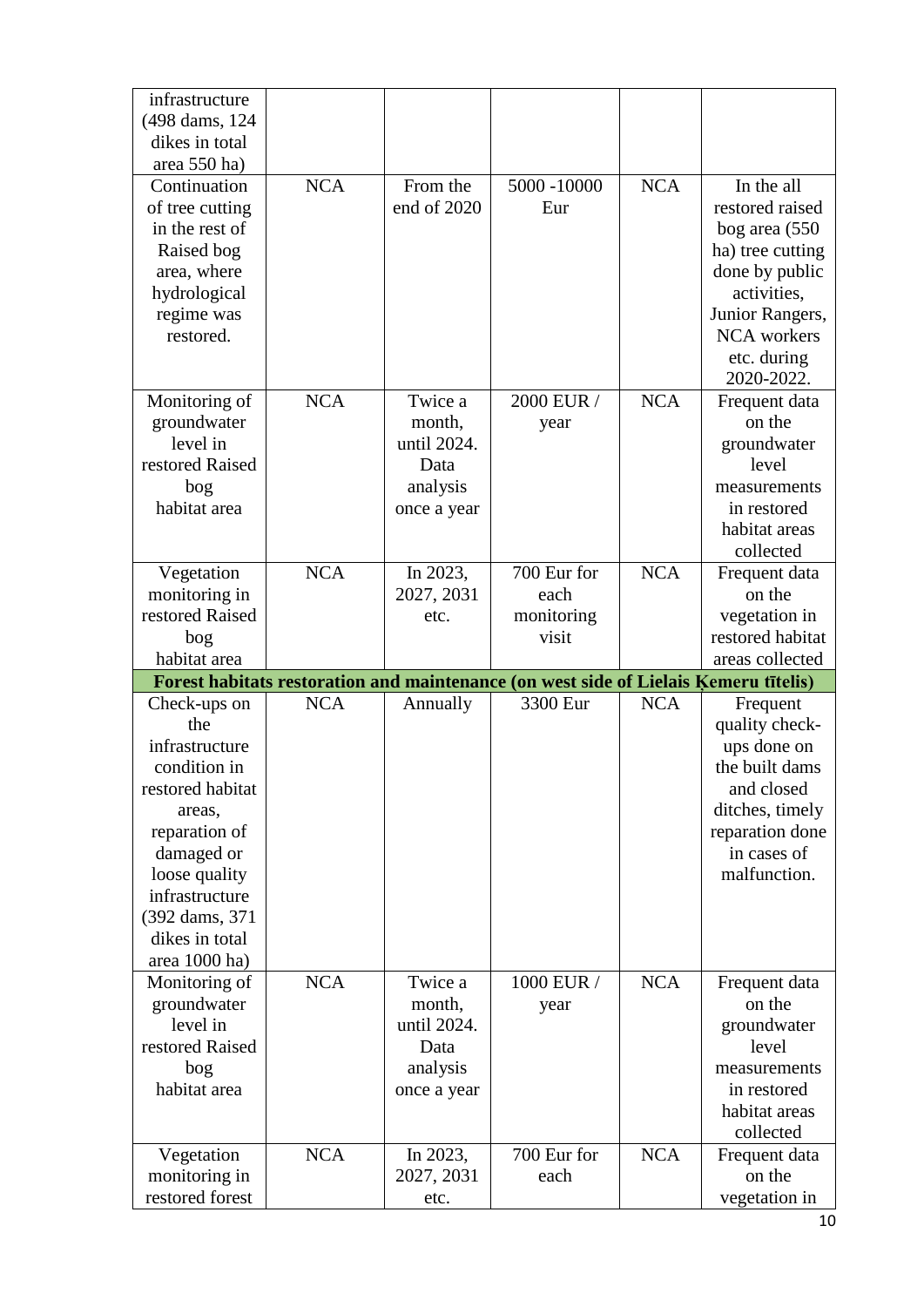| infrastructure<br>(498 dams, 124)<br>dikes in total<br>area 550 ha)                                                                                                                                        |            |                                                                     |                                                                                      |            |                                                                                                                                                                              |
|------------------------------------------------------------------------------------------------------------------------------------------------------------------------------------------------------------|------------|---------------------------------------------------------------------|--------------------------------------------------------------------------------------|------------|------------------------------------------------------------------------------------------------------------------------------------------------------------------------------|
| Continuation<br>of tree cutting<br>in the rest of<br>Raised bog<br>area, where<br>hydrological<br>regime was<br>restored.                                                                                  | <b>NCA</b> | From the<br>end of 2020                                             | 5000 -10000<br>Eur                                                                   | <b>NCA</b> | In the all<br>restored raised<br>bog area $(550)$<br>ha) tree cutting<br>done by public<br>activities,<br>Junior Rangers,<br><b>NCA</b> workers<br>etc. during<br>2020-2022. |
| Monitoring of<br>groundwater<br>level in<br>restored Raised<br>bog<br>habitat area                                                                                                                         | <b>NCA</b> | Twice a<br>month,<br>until 2024.<br>Data<br>analysis<br>once a year | 2000 EUR /<br>year                                                                   | <b>NCA</b> | Frequent data<br>on the<br>groundwater<br>level<br>measurements<br>in restored<br>habitat areas<br>collected                                                                 |
| Vegetation<br>monitoring in<br>restored Raised<br>bog                                                                                                                                                      | <b>NCA</b> | In 2023,<br>2027, 2031<br>etc.                                      | 700 Eur for<br>each<br>monitoring<br>visit                                           | <b>NCA</b> | Frequent data<br>on the<br>vegetation in<br>restored habitat                                                                                                                 |
| habitat area                                                                                                                                                                                               |            |                                                                     |                                                                                      |            | areas collected                                                                                                                                                              |
|                                                                                                                                                                                                            |            |                                                                     | Forest habitats restoration and maintenance (on west side of Lielais Kemeru tītelis) |            |                                                                                                                                                                              |
| Check-ups on<br>the<br>infrastructure<br>condition in<br>restored habitat<br>areas,<br>reparation of<br>damaged or<br>loose quality<br>infrastructure<br>(392 dams, 371<br>dikes in total<br>area 1000 ha) | <b>NCA</b> | Annually                                                            | 3300 Eur                                                                             | <b>NCA</b> | Frequent<br>quality check-<br>ups done on<br>the built dams<br>and closed<br>ditches, timely<br>reparation done<br>in cases of<br>malfunction.                               |
| Monitoring of<br>groundwater<br>level in<br>restored Raised<br>bog<br>habitat area                                                                                                                         | <b>NCA</b> | Twice a<br>month,<br>until 2024.<br>Data<br>analysis<br>once a year | 1000 EUR /<br>year                                                                   | <b>NCA</b> | Frequent data<br>on the<br>groundwater<br>level<br>measurements<br>in restored<br>habitat areas<br>collected                                                                 |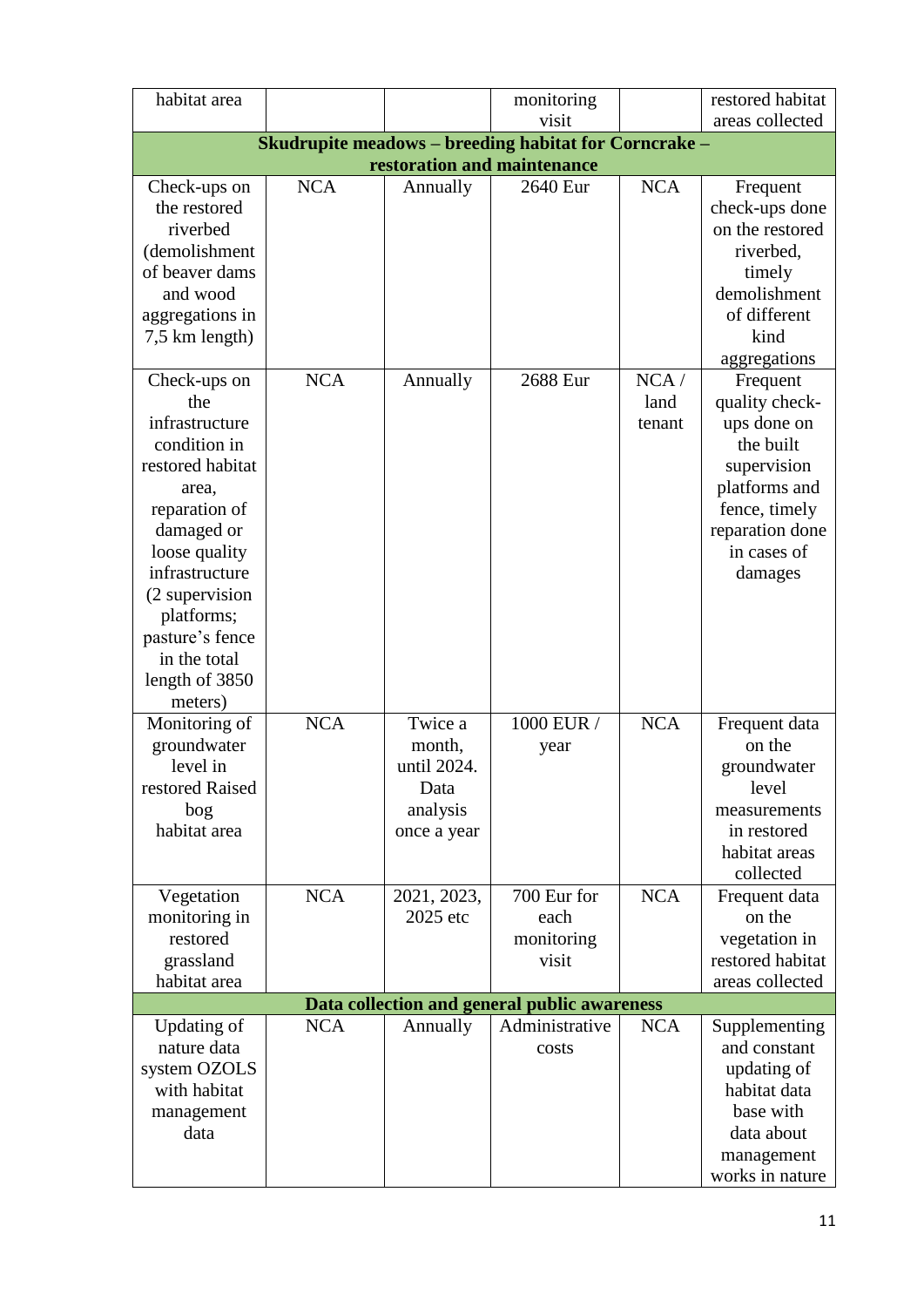| habitat area                                          |            |             | monitoring                                   |            | restored habitat               |  |  |
|-------------------------------------------------------|------------|-------------|----------------------------------------------|------------|--------------------------------|--|--|
|                                                       |            |             | visit                                        |            | areas collected                |  |  |
| Skudrupite meadows - breeding habitat for Corncrake - |            |             |                                              |            |                                |  |  |
|                                                       |            |             | restoration and maintenance                  |            |                                |  |  |
| Check-ups on                                          | <b>NCA</b> | Annually    | 2640 Eur                                     | <b>NCA</b> | Frequent                       |  |  |
| the restored                                          |            |             |                                              |            | check-ups done                 |  |  |
| riverbed                                              |            |             |                                              |            | on the restored                |  |  |
| (demolishment                                         |            |             |                                              |            | riverbed,                      |  |  |
| of beaver dams                                        |            |             |                                              |            | timely                         |  |  |
| and wood                                              |            |             |                                              |            | demolishment                   |  |  |
| aggregations in                                       |            |             |                                              |            | of different                   |  |  |
| 7,5 km length)                                        |            |             |                                              |            | kind                           |  |  |
|                                                       |            |             |                                              |            | aggregations                   |  |  |
| Check-ups on                                          | <b>NCA</b> | Annually    | 2688 Eur                                     | NCA/       | Frequent                       |  |  |
| the                                                   |            |             |                                              | land       | quality check-                 |  |  |
| infrastructure                                        |            |             |                                              | tenant     | ups done on                    |  |  |
| condition in                                          |            |             |                                              |            | the built                      |  |  |
| restored habitat                                      |            |             |                                              |            | supervision                    |  |  |
| area,                                                 |            |             |                                              |            | platforms and                  |  |  |
| reparation of                                         |            |             |                                              |            | fence, timely                  |  |  |
| damaged or                                            |            |             |                                              |            | reparation done<br>in cases of |  |  |
| loose quality<br>infrastructure                       |            |             |                                              |            |                                |  |  |
|                                                       |            |             |                                              |            | damages                        |  |  |
| (2 supervision<br>platforms;                          |            |             |                                              |            |                                |  |  |
| pasture's fence                                       |            |             |                                              |            |                                |  |  |
| in the total                                          |            |             |                                              |            |                                |  |  |
| length of 3850                                        |            |             |                                              |            |                                |  |  |
| meters)                                               |            |             |                                              |            |                                |  |  |
| Monitoring of                                         | <b>NCA</b> | Twice a     | 1000 EUR /                                   | <b>NCA</b> | Frequent data                  |  |  |
| groundwater                                           |            | month,      | year                                         |            | on the                         |  |  |
| level in                                              |            | until 2024. |                                              |            | groundwater                    |  |  |
| restored Raised                                       |            | Data        |                                              |            | level                          |  |  |
| bog                                                   |            | analysis    |                                              |            | measurements                   |  |  |
| habitat area                                          |            | once a year |                                              |            | in restored                    |  |  |
|                                                       |            |             |                                              |            | habitat areas                  |  |  |
|                                                       |            |             |                                              |            | collected                      |  |  |
| Vegetation                                            | <b>NCA</b> | 2021, 2023, | 700 Eur for                                  | <b>NCA</b> | Frequent data                  |  |  |
| monitoring in                                         |            | 2025 etc    | each                                         |            | on the                         |  |  |
| restored                                              |            |             | monitoring                                   |            | vegetation in                  |  |  |
| grassland                                             |            |             | visit                                        |            | restored habitat               |  |  |
| habitat area                                          |            |             |                                              |            | areas collected                |  |  |
|                                                       |            |             | Data collection and general public awareness |            |                                |  |  |
| Updating of                                           | <b>NCA</b> | Annually    | Administrative                               | <b>NCA</b> | Supplementing                  |  |  |
| nature data                                           |            |             | costs                                        |            | and constant                   |  |  |
| system OZOLS                                          |            |             |                                              |            | updating of                    |  |  |
| with habitat                                          |            |             |                                              |            | habitat data                   |  |  |
| management                                            |            |             |                                              |            | base with                      |  |  |
| data                                                  |            |             |                                              |            | data about                     |  |  |
|                                                       |            |             |                                              |            | management                     |  |  |
|                                                       |            |             |                                              |            | works in nature                |  |  |